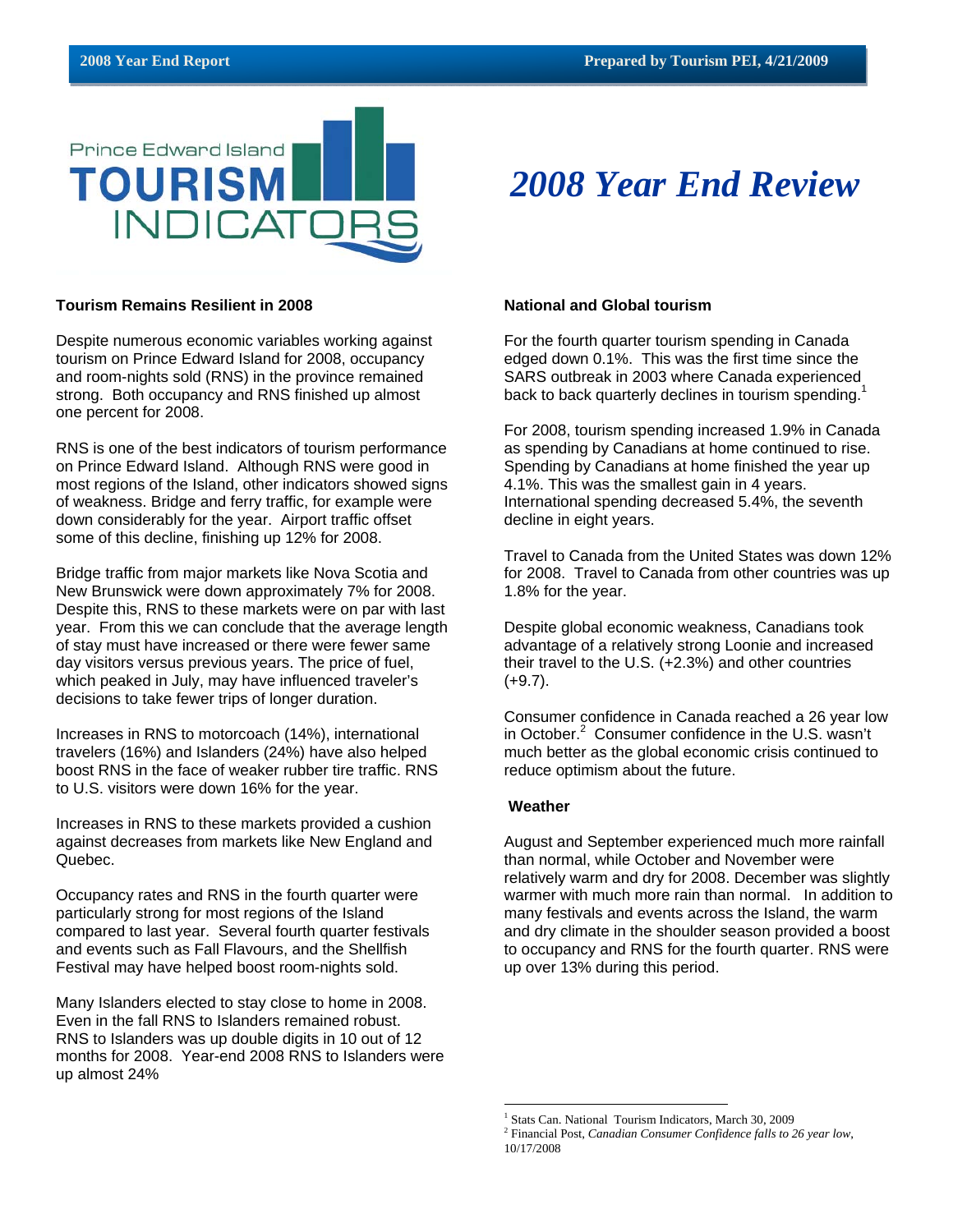

#### **Tourism Remains Resilient in 2008**

Despite numerous economic variables working against tourism on Prince Edward Island for 2008, occupancy and room-nights sold (RNS) in the province remained strong. Both occupancy and RNS finished up almost one percent for 2008.

RNS is one of the best indicators of tourism performance on Prince Edward Island. Although RNS were good in most regions of the Island, other indicators showed signs of weakness. Bridge and ferry traffic, for example were down considerably for the year. Airport traffic offset some of this decline, finishing up 12% for 2008.

Bridge traffic from major markets like Nova Scotia and New Brunswick were down approximately 7% for 2008. Despite this, RNS to these markets were on par with last year. From this we can conclude that the average length of stay must have increased or there were fewer same day visitors versus previous years. The price of fuel, which peaked in July, may have influenced traveler's decisions to take fewer trips of longer duration.

Increases in RNS to motorcoach (14%), international travelers (16%) and Islanders (24%) have also helped boost RNS in the face of weaker rubber tire traffic. RNS to U.S. visitors were down 16% for the year.

Increases in RNS to these markets provided a cushion against decreases from markets like New England and Quebec.

Occupancy rates and RNS in the fourth quarter were particularly strong for most regions of the Island compared to last year. Several fourth quarter festivals and events such as Fall Flavours, and the Shellfish Festival may have helped boost room-nights sold.

Many Islanders elected to stay close to home in 2008. Even in the fall RNS to Islanders remained robust. RNS to Islanders was up double digits in 10 out of 12 months for 2008. Year-end 2008 RNS to Islanders were up almost 24%

#### **National and Global tourism**

For the fourth quarter tourism spending in Canada edged down 0.1%. This was the first time since the SARS outbreak in 2003 where Canada experienced back to back quarterly declines in tourism spending.<sup>1</sup>

*2008 Year End Review*

For 2008, tourism spending increased 1.9% in Canada as spending by Canadians at home continued to rise. Spending by Canadians at home finished the year up 4.1%. This was the smallest gain in 4 years. International spending decreased 5.4%, the seventh decline in eight years.

Travel to Canada from the United States was down 12% for 2008. Travel to Canada from other countries was up 1.8% for the year.

Despite global economic weakness, Canadians took advantage of a relatively strong Loonie and increased their travel to the U.S. (+2.3%) and other countries (+9.7).

Consumer confidence in Canada reached a 26 year low in October.<sup>2</sup> Consumer confidence in the U.S. wasn't much better as the global economic crisis continued to reduce optimism about the future.

#### **Weather**

 $\overline{a}$ 

August and September experienced much more rainfall than normal, while October and November were relatively warm and dry for 2008. December was slightly warmer with much more rain than normal. In addition to many festivals and events across the Island, the warm and dry climate in the shoulder season provided a boost to occupancy and RNS for the fourth quarter. RNS were up over 13% during this period.

<sup>&</sup>lt;sup>1</sup> Stats Can. National Tourism Indicators, March 30, 2009

<sup>2</sup> Financial Post, *Canadian Consumer Confidence falls to 26 year low*, 10/17/2008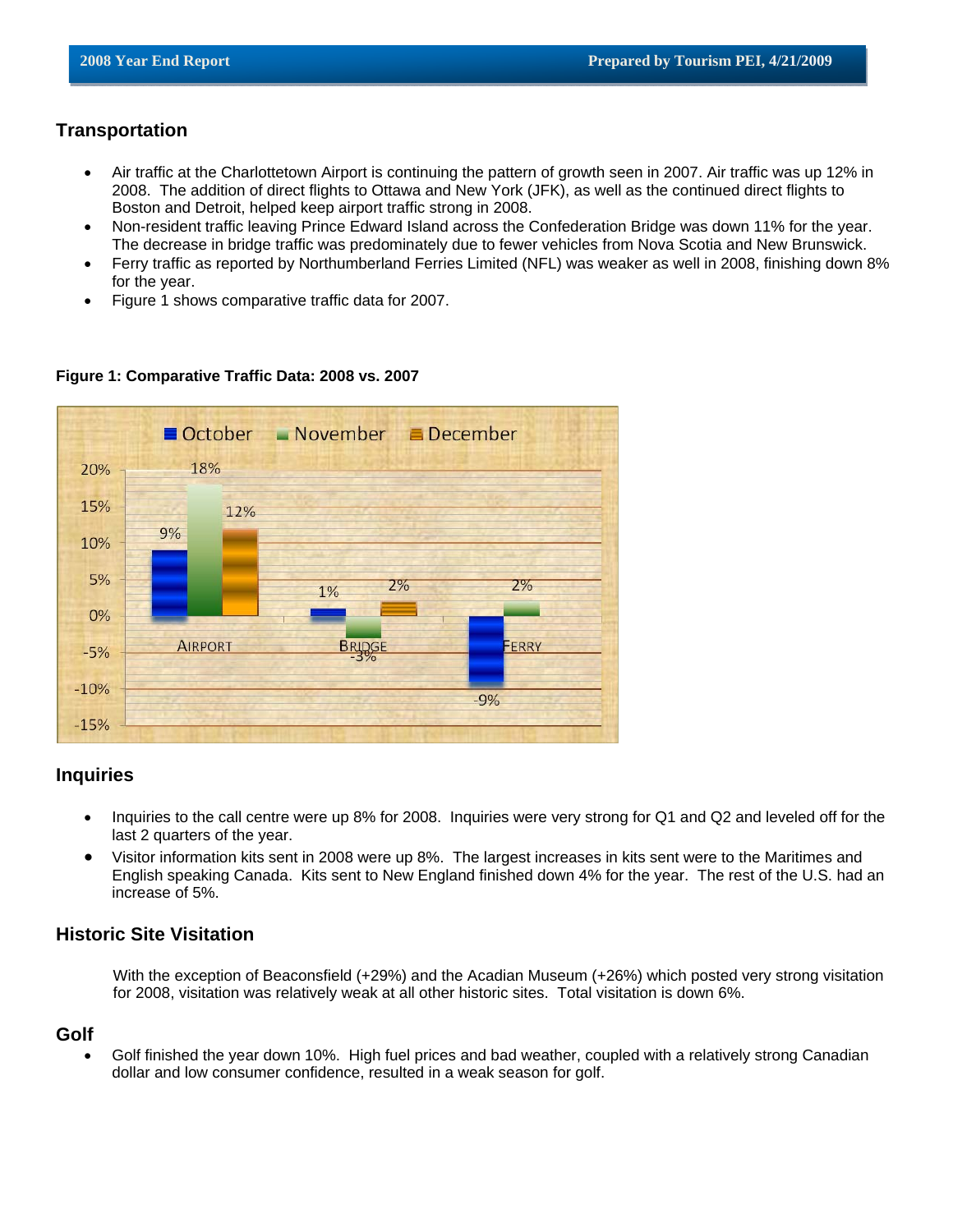# **Transportation**

- Air traffic at the Charlottetown Airport is continuing the pattern of growth seen in 2007. Air traffic was up 12% in 2008. The addition of direct flights to Ottawa and New York (JFK), as well as the continued direct flights to Boston and Detroit, helped keep airport traffic strong in 2008.
- Non-resident traffic leaving Prince Edward Island across the Confederation Bridge was down 11% for the year. The decrease in bridge traffic was predominately due to fewer vehicles from Nova Scotia and New Brunswick.
- Ferry traffic as reported by Northumberland Ferries Limited (NFL) was weaker as well in 2008, finishing down 8% for the year.
- Figure 1 shows comparative traffic data for 2007.

#### $\blacksquare$  November  $\blacksquare$  December  $\blacksquare$  October 18% 20% 15% 12% 9% 10% 5%  $2%$  $2%$ 1% 0% **AIRPORT BRIDG** ERRY  $-5%$  $-10%$  $-9%$  $-15%$

### **Figure 1: Comparative Traffic Data: 2008 vs. 2007**

## **Inquiries**

- Inquiries to the call centre were up 8% for 2008. Inquiries were very strong for Q1 and Q2 and leveled off for the last 2 quarters of the year.
- Visitor information kits sent in 2008 were up 8%. The largest increases in kits sent were to the Maritimes and English speaking Canada. Kits sent to New England finished down 4% for the year. The rest of the U.S. had an increase of 5%.

# **Historic Site Visitation**

With the exception of Beaconsfield (+29%) and the Acadian Museum (+26%) which posted very strong visitation for 2008, visitation was relatively weak at all other historic sites. Total visitation is down 6%.

### **Golf**

• Golf finished the year down 10%. High fuel prices and bad weather, coupled with a relatively strong Canadian dollar and low consumer confidence, resulted in a weak season for golf.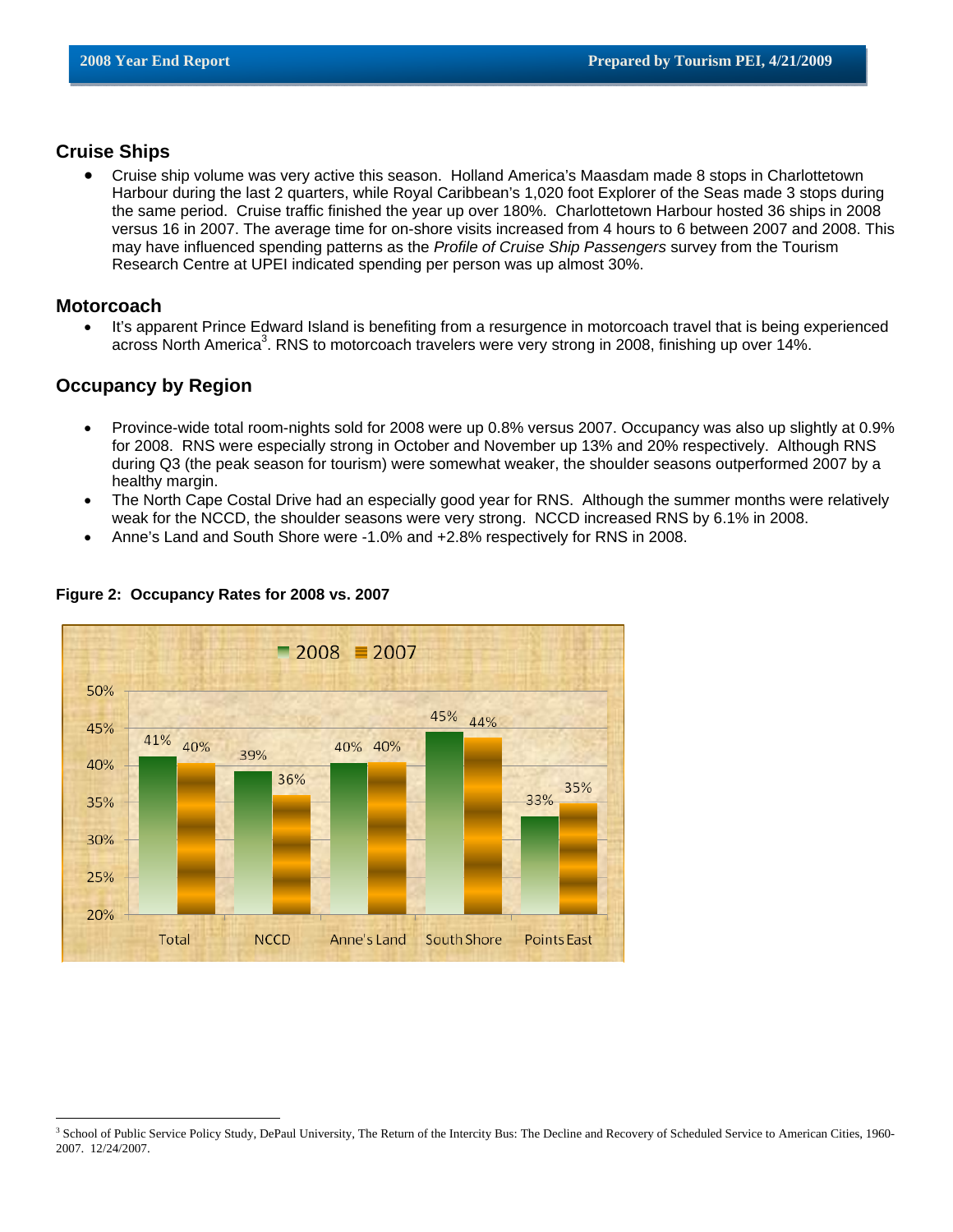## **Cruise Ships**

• Cruise ship volume was very active this season. Holland America's Maasdam made 8 stops in Charlottetown Harbour during the last 2 quarters, while Royal Caribbean's 1,020 foot Explorer of the Seas made 3 stops during the same period. Cruise traffic finished the year up over 180%. Charlottetown Harbour hosted 36 ships in 2008 versus 16 in 2007. The average time for on-shore visits increased from 4 hours to 6 between 2007 and 2008. This may have influenced spending patterns as the *Profile of Cruise Ship Passengers* survey from the Tourism Research Centre at UPEI indicated spending per person was up almost 30%.

### **Motorcoach**

 $\overline{a}$ 

• It's apparent Prince Edward Island is benefiting from a resurgence in motorcoach travel that is being experienced across North America<sup>3</sup>. RNS to motorcoach travelers were very strong in 2008, finishing up over 14%.

## **Occupancy by Region**

- Province-wide total room-nights sold for 2008 were up 0.8% versus 2007. Occupancy was also up slightly at 0.9% for 2008. RNS were especially strong in October and November up 13% and 20% respectively. Although RNS during Q3 (the peak season for tourism) were somewhat weaker, the shoulder seasons outperformed 2007 by a healthy margin.
- The North Cape Costal Drive had an especially good year for RNS. Although the summer months were relatively weak for the NCCD, the shoulder seasons were very strong. NCCD increased RNS by 6.1% in 2008.
- Anne's Land and South Shore were -1.0% and +2.8% respectively for RNS in 2008.



### **Figure 2: Occupancy Rates for 2008 vs. 2007**

<sup>&</sup>lt;sup>3</sup> School of Public Service Policy Study, DePaul University, The Return of the Intercity Bus: The Decline and Recovery of Scheduled Service to American Cities, 1960-2007. 12/24/2007.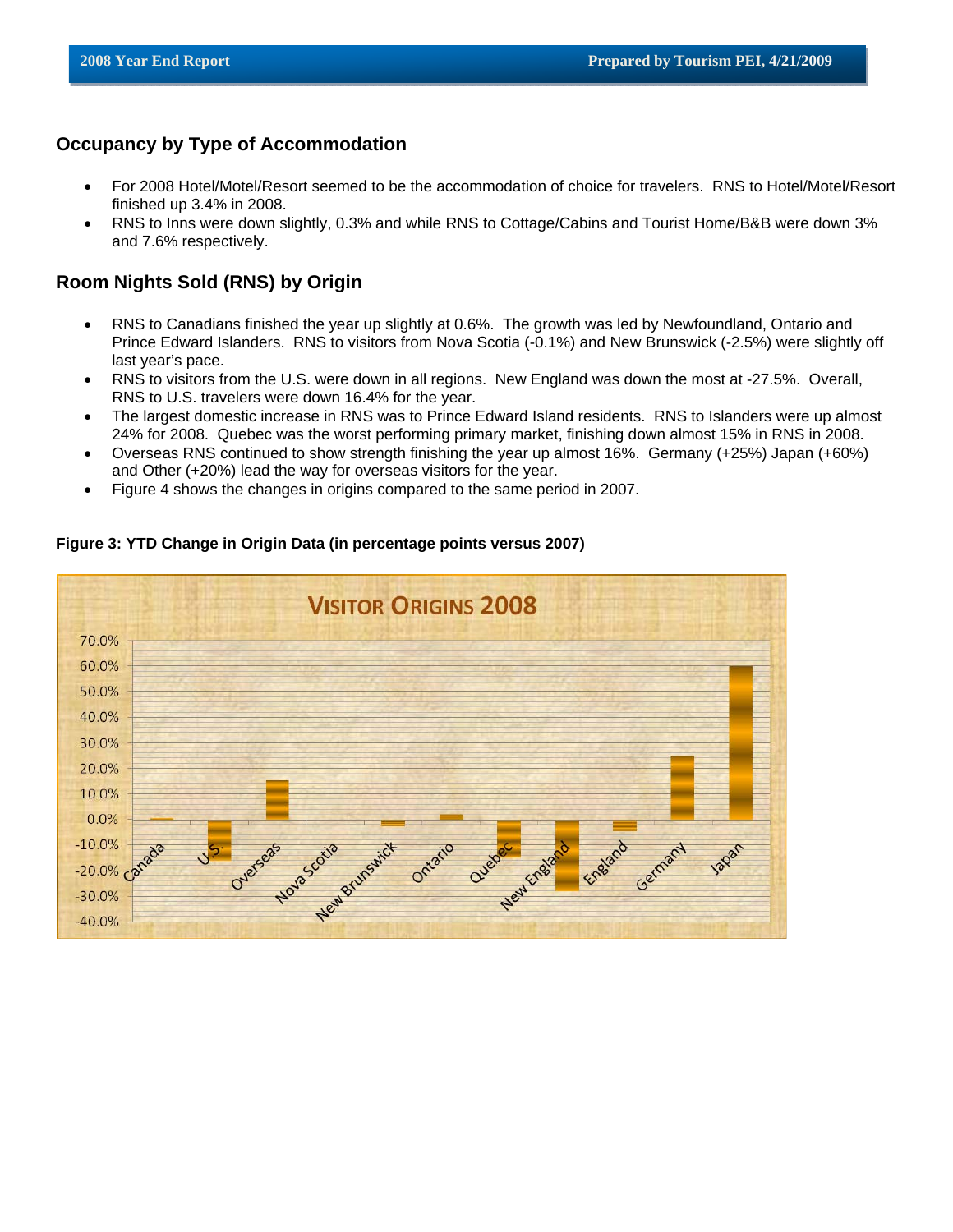## **Occupancy by Type of Accommodation**

- For 2008 Hotel/Motel/Resort seemed to be the accommodation of choice for travelers. RNS to Hotel/Motel/Resort finished up 3.4% in 2008.
- RNS to Inns were down slightly, 0.3% and while RNS to Cottage/Cabins and Tourist Home/B&B were down 3% and 7.6% respectively.

# **Room Nights Sold (RNS) by Origin**

- RNS to Canadians finished the year up slightly at 0.6%. The growth was led by Newfoundland, Ontario and Prince Edward Islanders. RNS to visitors from Nova Scotia (-0.1%) and New Brunswick (-2.5%) were slightly off last year's pace.
- RNS to visitors from the U.S. were down in all regions. New England was down the most at -27.5%. Overall, RNS to U.S. travelers were down 16.4% for the year.
- The largest domestic increase in RNS was to Prince Edward Island residents. RNS to Islanders were up almost 24% for 2008. Quebec was the worst performing primary market, finishing down almost 15% in RNS in 2008.
- Overseas RNS continued to show strength finishing the year up almost 16%. Germany (+25%) Japan (+60%) and Other (+20%) lead the way for overseas visitors for the year.
- Figure 4 shows the changes in origins compared to the same period in 2007.



### **Figure 3: YTD Change in Origin Data (in percentage points versus 2007)**